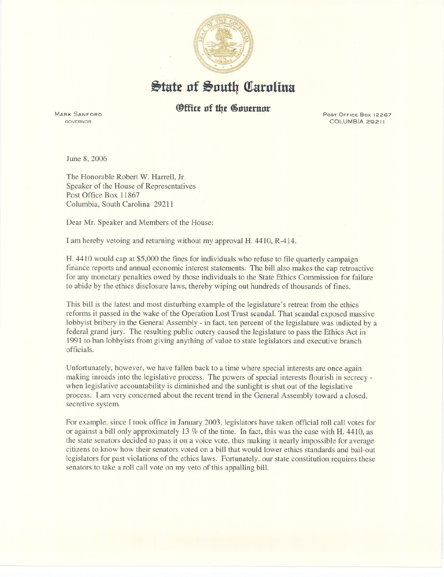

## $\frac{1}{2}$ tate of South Carolina

## **(Office of the Gouernor**

MARK SANFORD GOVERNOR

COLUMBIA 29211

June 8, 2006

The Honorable Robert W. Harrell, Jr. Speaker of the House of Representatives Post Office Box 11867 Columbia, South Carolina 29211

Dear Mr. Speaker and Members of the House:

I am hereby vetoing and returning without my approval H. 4410, R-414.

H. 4410 would cap at \$5,000 the fines for individuals who refuse to file quarterly campaign finance reports and annual economic interest statements. The bill also makes the cap retroactive for any monetary penalties owed by those individuals to the State Ethics Commission for failure to abide by the ethics disclosure laws, thereby wiping out hundreds of thousands of fines.

This bill is the latest and most disturbing example of the legislature's retreat from the ethics reforms it passed in the wake of the Operation Lost Trust scandal. That scandal exposed massive lobbyist bribery in the General Assembly - in fact, ten percent of the legislature was indicted by a federal grand jury. The resulting public outcry caused the legislature to pass the Ethics Act in 1991 to ban lobbyists from giving anything of value to state legislators and executive branch officials.

Unfortunately, however, we have fallen back to a time where special interests are once again making inroads into the legislative process. The powers of special interests flourish in secrecy when legislative accountability is diminished and the sunlight is shut out of the legislative process. I am very concerned about the recent trend in the General Assembly toward a closed, secretive system.

For example, since I took office in January 2003, legislators have taken official roll call votes for or against a bill only approximately 13 % of the time. In fact, this was the case with H. 4410, as the state senators decided to pass it on a voice vote, thus making it nearly impossible for average citizens to know how their senators voted on a bill that would lower ethics standards and bail-out legislators for past violations of the ethics laws. Fortunately, our state constitution requires these senators to take a roll call vote on my veto of this appalling bill.